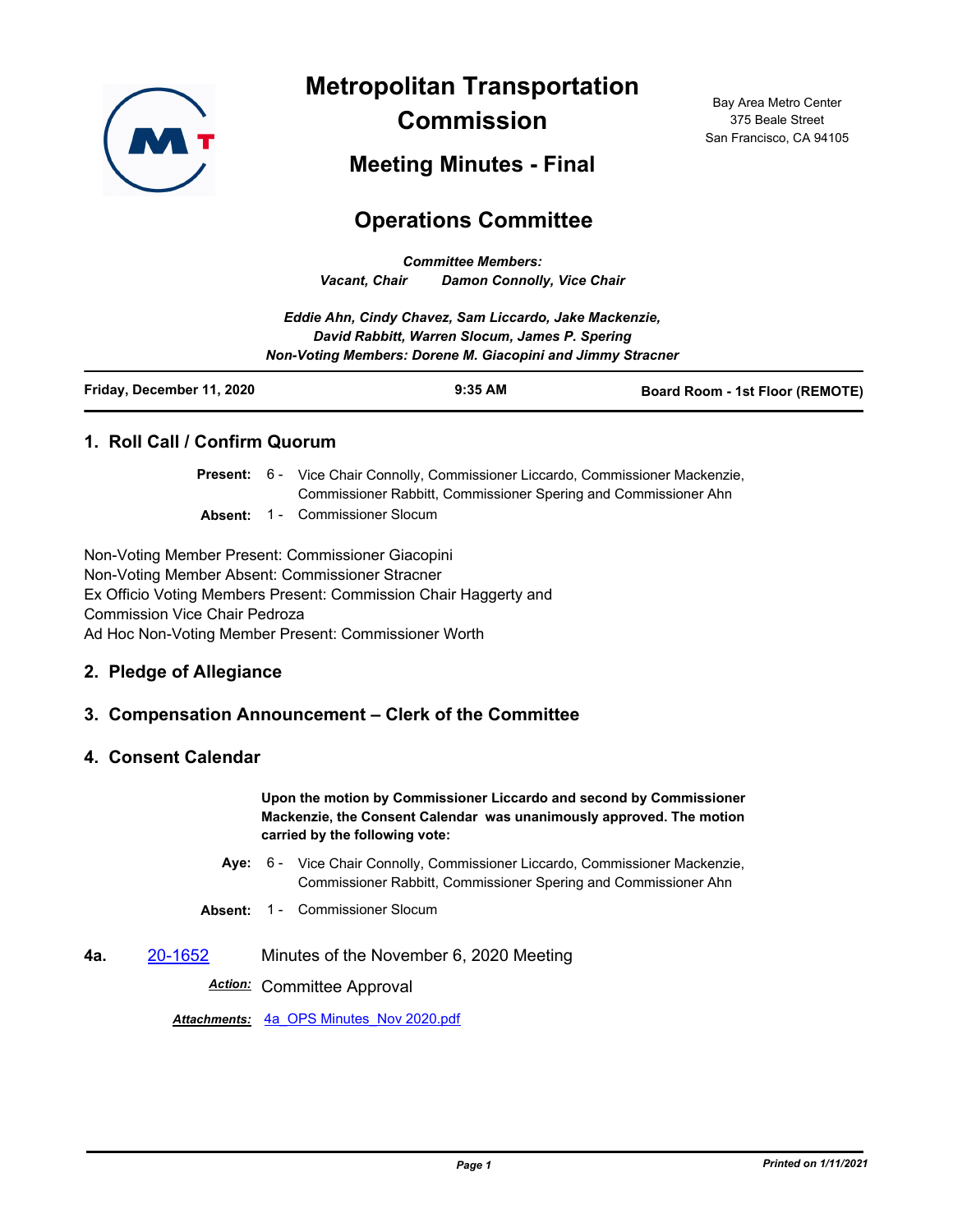

**Metropolitan Transportation Commission**

Bay Area Metro Center 375 Beale Street San Francisco, CA 94105

**Meeting Minutes - Final**

# **Operations Committee**

*Committee Members: Vacant, Chair Damon Connolly, Vice Chair*

|                                                            | Eddie Ahn, Cindy Chavez, Sam Liccardo, Jake Mackenzie, |                                 |  |
|------------------------------------------------------------|--------------------------------------------------------|---------------------------------|--|
| David Rabbitt, Warren Slocum, James P. Spering             |                                                        |                                 |  |
| Non-Voting Members: Dorene M. Giacopini and Jimmy Stracner |                                                        |                                 |  |
| Friday, December 11, 2020                                  | $9:35$ AM                                              | Board Room - 1st Floor (REMOTE) |  |

# **1. Roll Call / Confirm Quorum**

Present: 6 - Vice Chair Connolly, Commissioner Liccardo, Commissioner Mackenzie, Commissioner Rabbitt, Commissioner Spering and Commissioner Ahn

**Absent:** 1 - Commissioner Slocum

Non-Voting Member Present: Commissioner Giacopini Non-Voting Member Absent: Commissioner Stracner Ex Officio Voting Members Present: Commission Chair Haggerty and Commission Vice Chair Pedroza Ad Hoc Non-Voting Member Present: Commissioner Worth

# **2. Pledge of Allegiance**

# **3. Compensation Announcement – Clerk of the Committee**

# **4. Consent Calendar**

**Upon the motion by Commissioner Liccardo and second by Commissioner Mackenzie, the Consent Calendar was unanimously approved. The motion carried by the following vote:**

Aye: 6 - Vice Chair Connolly, Commissioner Liccardo, Commissioner Mackenzie, Commissioner Rabbitt, Commissioner Spering and Commissioner Ahn

**Absent:** 1 - Commissioner Slocum

**4a.** [20-1652](http://mtc.legistar.com/gateway.aspx?m=l&id=/matter.aspx?key=21517) Minutes of the November 6, 2020 Meeting

*Action:* Committee Approval

*Attachments:* [4a\\_OPS Minutes\\_Nov 2020.pdf](http://mtc.legistar.com/gateway.aspx?M=F&ID=56e15dca-b0c6-4e12-883b-52a206d9e66e.pdf)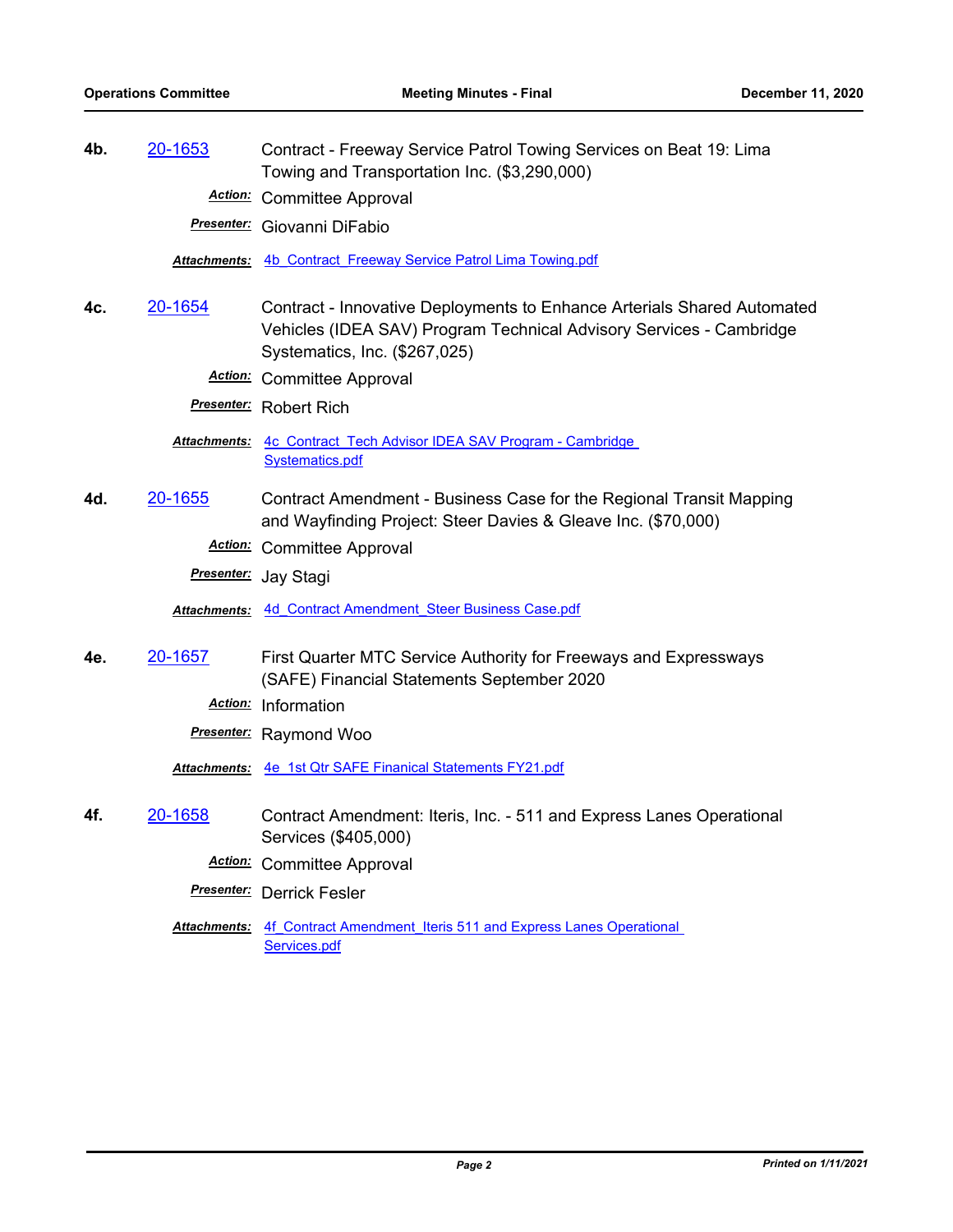| 4b. | 20-1653      | Contract - Freeway Service Patrol Towing Services on Beat 19: Lima<br>Towing and Transportation Inc. (\$3,290,000)                                                              |  |
|-----|--------------|---------------------------------------------------------------------------------------------------------------------------------------------------------------------------------|--|
|     |              | <b>Action:</b> Committee Approval                                                                                                                                               |  |
|     |              | <b>Presenter:</b> Giovanni DiFabio                                                                                                                                              |  |
|     |              | <b>Attachments: 4b Contract Freeway Service Patrol Lima Towing.pdf</b>                                                                                                          |  |
| 4c. | 20-1654      | Contract - Innovative Deployments to Enhance Arterials Shared Automated<br>Vehicles (IDEA SAV) Program Technical Advisory Services - Cambridge<br>Systematics, Inc. (\$267,025) |  |
|     |              | <b>Action:</b> Committee Approval                                                                                                                                               |  |
|     |              | <b>Presenter:</b> Robert Rich                                                                                                                                                   |  |
|     |              | Attachments: 4c Contract Tech Advisor IDEA SAV Program - Cambridge<br><b>Systematics.pdf</b>                                                                                    |  |
| 4d. | 20-1655      | Contract Amendment - Business Case for the Regional Transit Mapping<br>and Wayfinding Project: Steer Davies & Gleave Inc. (\$70,000)                                            |  |
|     |              | <b>Action:</b> Committee Approval                                                                                                                                               |  |
|     |              | Presenter: Jay Stagi                                                                                                                                                            |  |
|     |              | <b>Attachments: 4d Contract Amendment Steer Business Case.pdf</b>                                                                                                               |  |
| 4e. | 20-1657      | First Quarter MTC Service Authority for Freeways and Expressways<br>(SAFE) Financial Statements September 2020                                                                  |  |
|     |              | Action: Information                                                                                                                                                             |  |
|     |              | <b>Presenter:</b> Raymond Woo                                                                                                                                                   |  |
|     |              | Attachments: 4e 1st Qtr SAFE Finanical Statements FY21.pdf                                                                                                                      |  |
| 4f. | 20-1658      | Contract Amendment: Iteris, Inc. - 511 and Express Lanes Operational<br>Services (\$405,000)                                                                                    |  |
|     |              | Action: Committee Approval                                                                                                                                                      |  |
|     |              | Presenter: Derrick Fesler                                                                                                                                                       |  |
|     | Attachments: | 4f Contract Amendment Iteris 511 and Express Lanes Operational<br>Services.pdf                                                                                                  |  |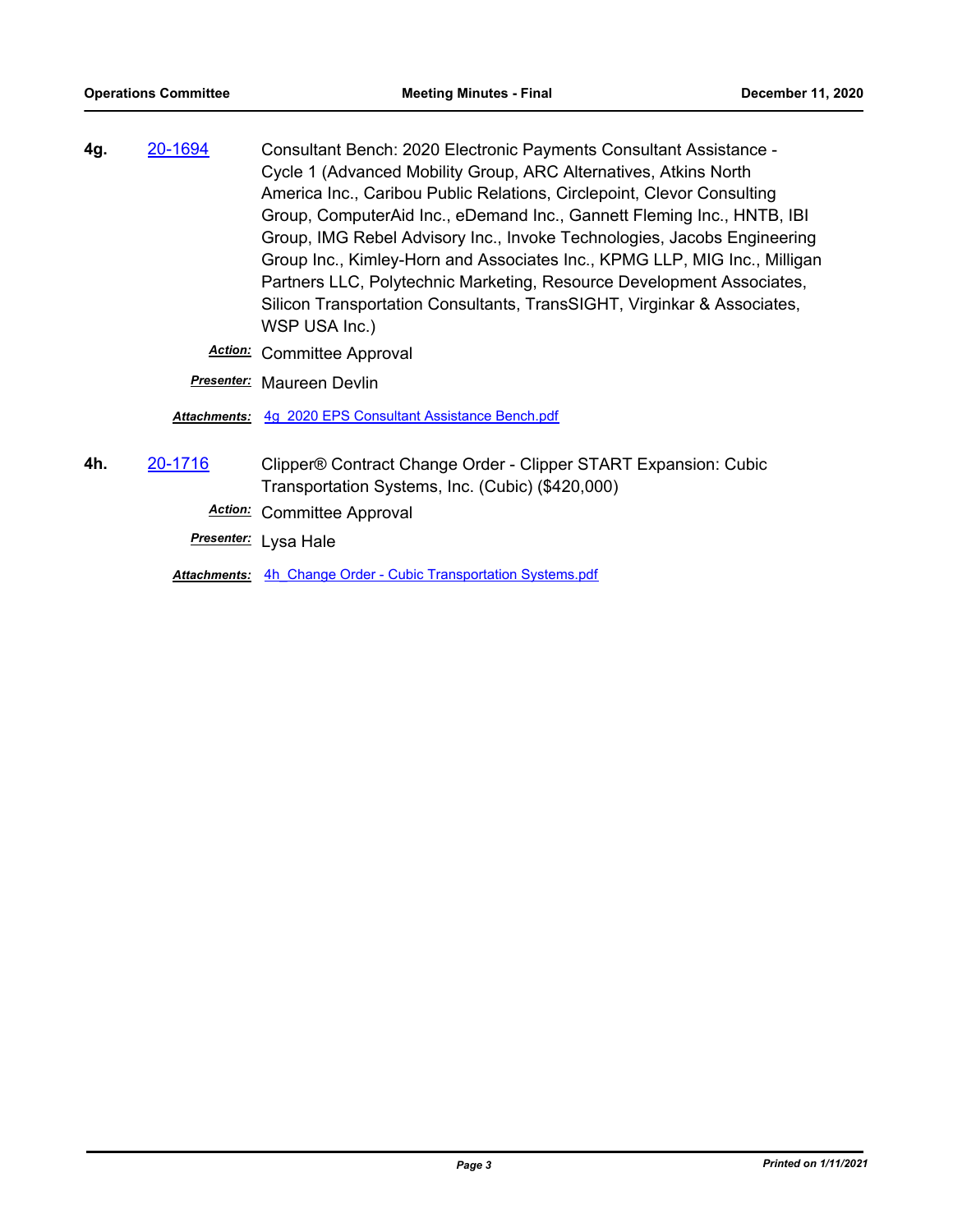- **4g.** [20-1694](http://mtc.legistar.com/gateway.aspx?m=l&id=/matter.aspx?key=21559) Consultant Bench: 2020 Electronic Payments Consultant Assistance Cycle 1 (Advanced Mobility Group, ARC Alternatives, Atkins North America Inc., Caribou Public Relations, Circlepoint, Clevor Consulting Group, ComputerAid Inc., eDemand Inc., Gannett Fleming Inc., HNTB, IBI Group, IMG Rebel Advisory Inc., Invoke Technologies, Jacobs Engineering Group Inc., Kimley-Horn and Associates Inc., KPMG LLP, MIG Inc., Milligan Partners LLC, Polytechnic Marketing, Resource Development Associates, Silicon Transportation Consultants, TransSIGHT, Virginkar & Associates, WSP USA Inc.)
	- *Action:* Committee Approval

*Presenter:* Maureen Devlin

*Attachments:* [4g\\_2020 EPS Consultant Assistance Bench.pdf](http://mtc.legistar.com/gateway.aspx?M=F&ID=f29d9369-1692-4a3d-8fdd-2089f971941f.pdf)

**4h.** [20-1716](http://mtc.legistar.com/gateway.aspx?m=l&id=/matter.aspx?key=21581) Clipper® Contract Change Order - Clipper START Expansion: Cubic Transportation Systems, Inc. (Cubic) (\$420,000)

*Action:* Committee Approval

*Presenter:* Lysa Hale

*Attachments:* [4h\\_Change Order - Cubic Transportation Systems.pdf](http://mtc.legistar.com/gateway.aspx?M=F&ID=c9aeed7e-dad2-4ae4-b7a3-a20d7a9f2829.pdf)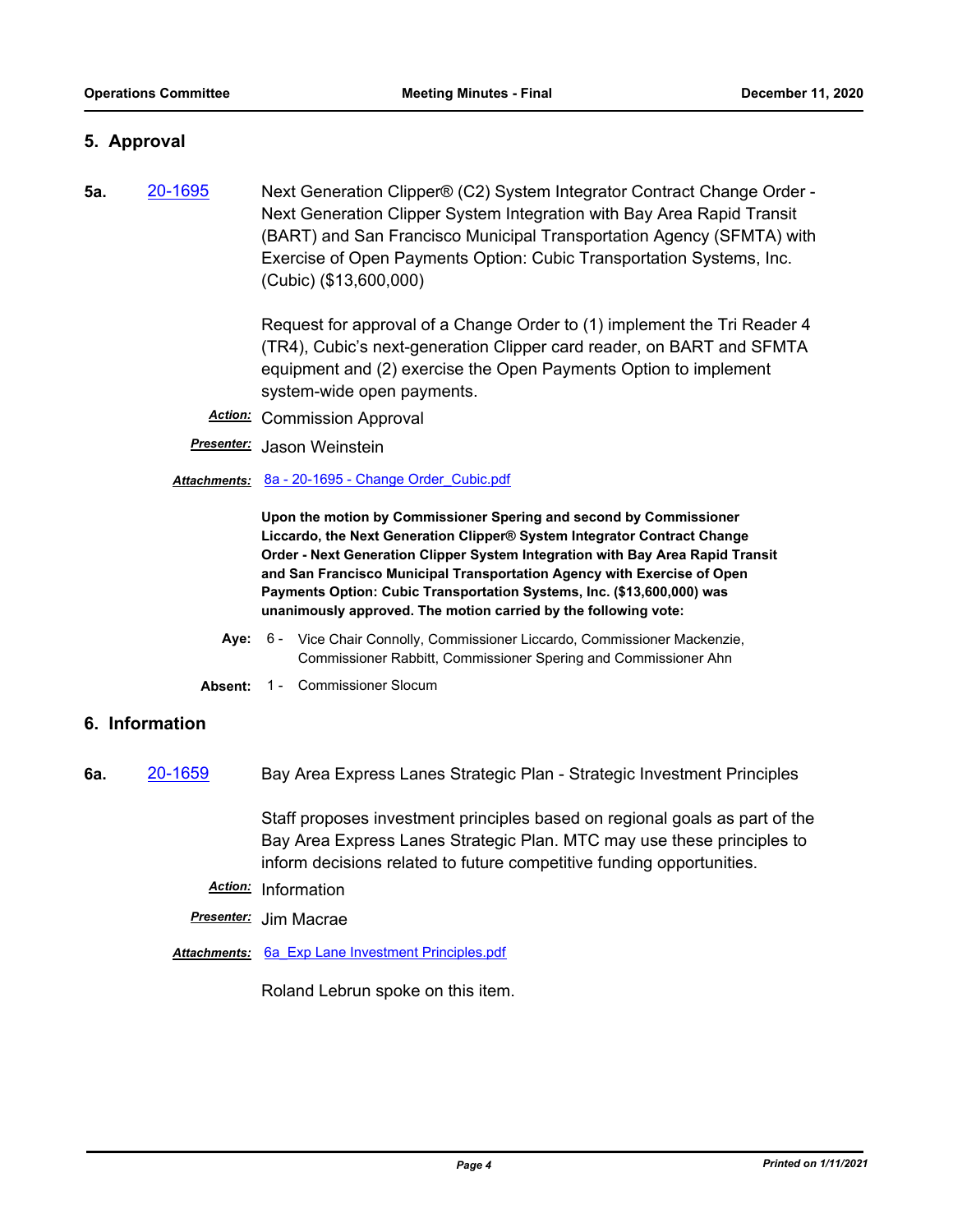# **5. Approval**

**5a.** [20-1695](http://mtc.legistar.com/gateway.aspx?m=l&id=/matter.aspx?key=21560) Next Generation Clipper® (C2) System Integrator Contract Change Order - Next Generation Clipper System Integration with Bay Area Rapid Transit (BART) and San Francisco Municipal Transportation Agency (SFMTA) with Exercise of Open Payments Option: Cubic Transportation Systems, Inc. (Cubic) (\$13,600,000)

> Request for approval of a Change Order to (1) implement the Tri Reader 4 (TR4), Cubic's next-generation Clipper card reader, on BART and SFMTA equipment and (2) exercise the Open Payments Option to implement system-wide open payments.

- *Action:* Commission Approval
- *Presenter:* Jason Weinstein

#### Attachments: 8a - 20-1695 - Change Order Cubic.pdf

**Upon the motion by Commissioner Spering and second by Commissioner Liccardo, the Next Generation Clipper® System Integrator Contract Change Order - Next Generation Clipper System Integration with Bay Area Rapid Transit and San Francisco Municipal Transportation Agency with Exercise of Open Payments Option: Cubic Transportation Systems, Inc. (\$13,600,000) was unanimously approved. The motion carried by the following vote:**

- Aye: 6 Vice Chair Connolly, Commissioner Liccardo, Commissioner Mackenzie, Commissioner Rabbitt, Commissioner Spering and Commissioner Ahn
- **Absent:** 1 Commissioner Slocum

#### **6. Information**

**6a.** [20-1659](http://mtc.legistar.com/gateway.aspx?m=l&id=/matter.aspx?key=21524) Bay Area Express Lanes Strategic Plan - Strategic Investment Principles

Staff proposes investment principles based on regional goals as part of the Bay Area Express Lanes Strategic Plan. MTC may use these principles to inform decisions related to future competitive funding opportunities.

- *Action:* Information
- *Presenter:* Jim Macrae
- *Attachments:* [6a\\_Exp Lane Investment Principles.pdf](http://mtc.legistar.com/gateway.aspx?M=F&ID=12147763-f458-4bd5-95c6-e2f244c3394e.pdf)

Roland Lebrun spoke on this item.